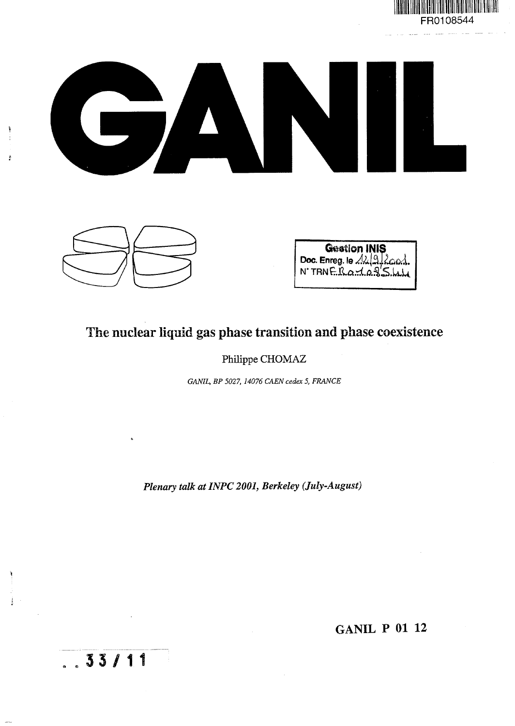





# The nuclear liquid gas phase transition and phase coexistence

Philippe CHOMAZ

*GANIL, BP 5027,14076 CAEN cedex 5, FRANCE*

*Plenary talk at INPC 2001, Berkeley (July-August)*

GANIL P 01 12



ŀ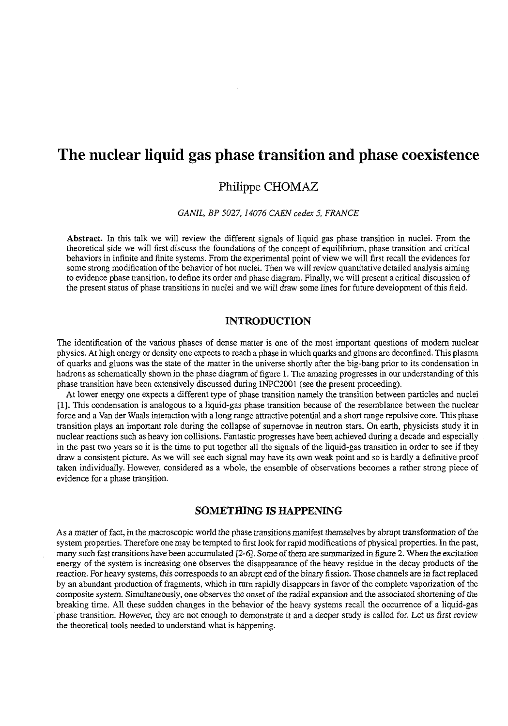# The nuclear liquid gas phase transition and phase coexistence

# Philippe CHOMAZ

*GANIL, BP 5027,14076 CAEN cedex* 5, *FRANCE*

Abstract. In this talk we will review the different signals of liquid gas phase transition in nuclei. From the theoretical side we will first discuss the foundations of the concept of equilibrium, phase transition and critical behaviors in infinite and finite systems. Prom the experimental point of view we will first recall the evidences for some strong modification of the behavior of hot nuclei. Then we will review quantitative detailed analysis aiming to evidence phase transition, to define its order and phase diagram. Finally, we will present a critical discussion of the present status of phase transitions in nuclei and we will draw some lines for future development of this field.

#### INTRODUCTION

The identification of the various phases of dense matter is one of the most important questions of modern nuclear physics. At high energy or density one expects to reach a phase in which quarks and gluons are deconfined. This plasma of quarks and gluons was the state of the matter in the universe shortly after the big-bang prior to its condensation in hadrons as schematically shown in the phase diagram of figure 1. The amazing progresses in our understanding of this phase transition have been extensively discussed during INPC2001 (see the present proceeding).

At lower energy one expects a different type of phase transition namely the transition between particles and nuclei [1]. This condensation is analogous to a liquid-gas phase transition because of the resemblance between the nuclear force and a Van der Waals interaction with a long range attractive potential and a short range repulsive core. This phase transition plays an important role during the collapse of supernovae in neutron stars. On earth, physicists study it in nuclear reactions such as heavy ion collisions. Fantastic progresses have been achieved during a decade and especially in the past two years so it is the time to put together all the signals of the liquid-gas transition in order to see if they draw a consistent picture. As we will see each signal may have its own weak point and so is hardly a definitive proof taken individually. However, considered as a whole, the ensemble of observations becomes a rather strong piece of evidence for a phase transition.

#### SOMETHING IS HAPPENING

As a matter of fact, in the macroscopic world the phase transitions manifest themselves by abrupt transformation of the system properties. Therefore one may be tempted to first look for rapid modifications of physical properties. In the past, many such fast transitions have been accumulated [2-6]. Some of them are summarized in figure 2. When the excitation energy of the system is increasing one observes the disappearance of the heavy residue in the decay products of the reaction. For heavy systems, this corresponds to an abrupt end of the binary fission. Those channels are in fact replaced by an abundant production of fragments, which in turn rapidly disappears in favor of the complete vaporization of the composite system. Simultaneously, one observes the onset of the radial expansion and the associated shortening of the breaking time. All these sudden changes in the behavior of the heavy systems recall the occurrence of a liquid-gas phase transition. However, they are not enough to demonstrate it and a deeper study is called for. Let us first review the theoretical tools needed to understand what is happening.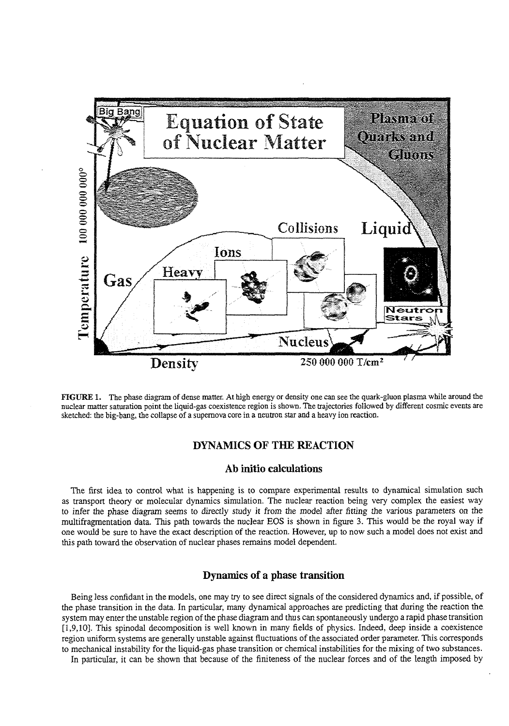

FIGURE 1. The phase diagram of dense matter. At high energy or density one can see the quark-gluon plasma while around the nuclear matter saturation point the liquid-gas coexistence region is shown. The trajectories followed by different cosmic events are sketched: the big-bang, the collapse of a supernova core in a neutron star and a heavy ion reaction.

## DYNAMICS OF THE REACTION

#### Ab initio calculations

The first idea to control what is happening is to compare experimental results to dynamical simulation such as transport theory or molecular dynamics simulation. The nuclear reaction being very complex the easiest way to infer the phase diagram seems to directly study it from the model after fitting the various parameters on the multifragmentation data. This path towards the nuclear EOS is shown in figure 3. This would be the royal way if one would be sure to have the exact description of the reaction. However, up to now such a model does not exist and this path toward the observation of nuclear phases remains model dependent.

#### Dynamics of a phase transition

Being less confidant in the models, one may try to see direct signals of the considered dynamics and, if possible, of the phase transition in the data. In particular, many dynamical approaches are predicting that during the reaction the system may enter the unstable region of the phase diagram and thus can spontaneously undergo a rapid phase transition [1,9,10]. This spinodal decomposition is well known in many fields of physics. Indeed, deep inside a coexistence region uniform systems are generally unstable against fluctuations of the associated order parameter. This corresponds to mechanical instability for the liquid-gas phase transition or chemical instabilities for the mixing of two substances.

In particular, it can be shown that because of the finiteness of the nuclear forces and of the length imposed by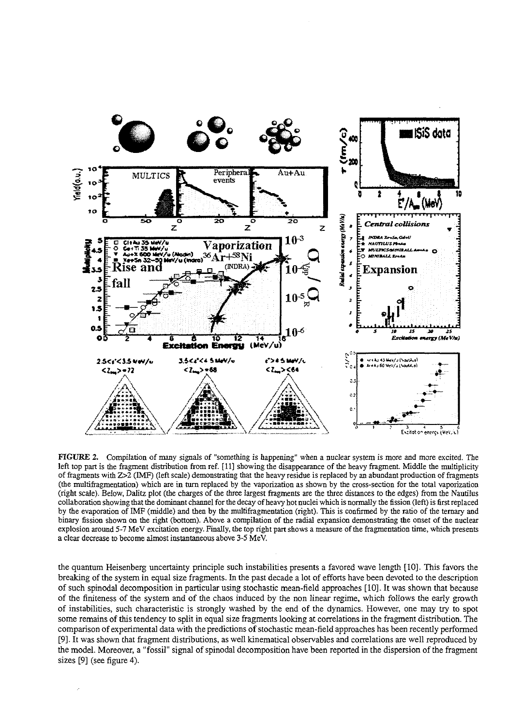

FIGURE 2. Compilation of many signals of "something is happening" when a nuclear system is more and more excited. The left top part is the fragment distribution from ref. [11] showing the disappearance of the heavy fragment. Middle the multiplicity of fragments with Z>2 (IMF) (left scale) demonstrating that the heavy residue is replaced by an abundant production of fragments (the multifragmentation) which are in turn replaced by the vaporization as shown by the cross-section for the total vaporization (right scale). Below, Dalitz plot (the charges of the three largest fragments are the three distances to the edges) from the Nautilus collaboration showing that the dominant channel for the decay of heavy hot nuclei which is normally the fission (left) is first replaced by the evaporation of IMF (middle) and then by the multifragmentation (right). This is confirmed by the ratio of the ternary and binary fission shown on the right (bottom). Above a compilation of the radial expansion demonstrating the onset of the nuclear explosion around 5-7 MeV excitation energy. Finally, the top right part shows a measure of the fragmentation time, which presents a clear decrease to become almost instantaneous above 3-5 MeV.

the quantum Heisenberg uncertainty principle such instabilities presents a favored wave length [10]. This favors the breaking of the system in equal size fragments. In the past decade a lot of efforts have been devoted to the description of such spinodal decomposition in particular using stochastic mean-field approaches [10]. It was shown that because of the finiteness of the system and of the chaos induced by the non linear regime, which follows the early growth of instabilities, such characteristic is strongly washed by the end of the dynamics. However, one may try to spot some remains of this tendency to split in equal size fragments looking at correlations in the fragment distribution. The comparison of experimental data with the predictions of stochastic mean-field approaches has been recently performed [9]. It was shown that fragment distributions, as well kinematical observables and correlations are well reproduced by the model. Moreover, a "fossil" signal of spinodal decomposition have been reported in the dispersion of the fragment sizes [9] (see figure 4).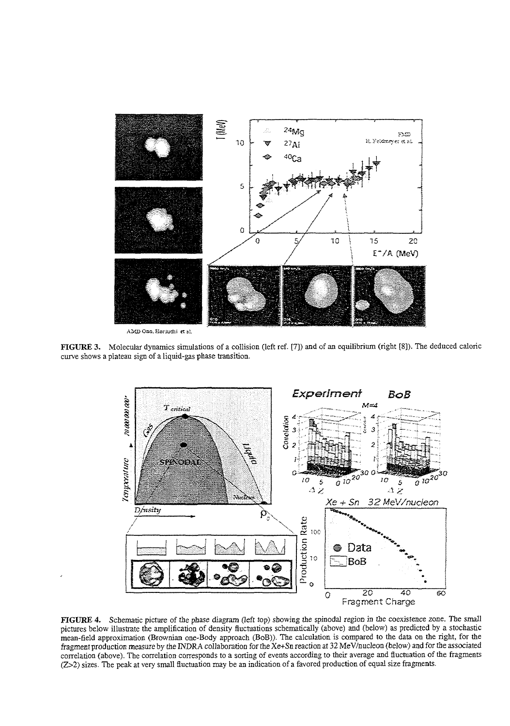

FIGURE 3. Molecular dynamics simulations of a collision (left ref. [7]) and of an equilibrium (right [8]). The deduced caloric curve shows a plateau sign of a liquid-gas phase transition.



FIGURE 4. Schematic picture of the phase diagram (left top) showing the spinodal region in the coexistence zone. The small pictures below illustrate the amplification of density fluctuations schematically (above) and (below) as predicted by a stochastic mean-field approximation (Brownian one-Body approach (BoB)). The calculation is compared to the data on the right, for the fragment production measure by the INDRA collaboration for the Xe+Sn reaction at 32 MeV/nucleon (below) and for the associated correlation (above). The correlation corresponds to a sorting of events according to their average and fluctuation of the fragments (Z>2) sizes. The peak at very small fluctuation may be an indication of a favored production of equal size fragments.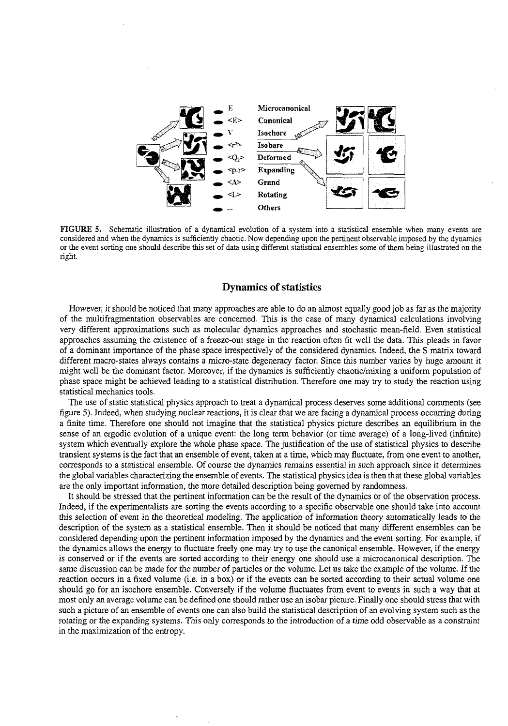

FIGURE 5. Schematic illustration of a dynamical evolution of a system into a statistical ensemble when many events are considered and when the dynamics is sufficiently chaotic. Now depending upon the pertinent observable imposed by the dynamics or the event sorting one should describe this set of data using different statistical ensembles some of them being illustrated on the right.

#### Dynamics of statistics

However, it should be noticed that many approaches are able to do an almost equally good job as far as the majority of the multifragrnentation observables are concerned. This is the case of many dynamical calculations involving very different approximations such as molecular dynamics approaches and stochastic mean-field. Even statistical approaches assuming the existence of a freeze-out stage in the reaction often fit well the data. This pleads in favor of a dominant importance of the phase space irrespectively of the considered dynamics. Indeed, the S matrix toward different macro-states always contains a micro-state degeneracy factor. Since this number varies by huge amount it might well be the dominant factor. Moreover, if the dynamics is sufficiently chaotic/mixing a uniform population of phase space might be achieved leading to a statistical distribution. Therefore one may try to study the reaction using statistical mechanics tools.

The use of static statistical physics approach to treat a dynamical process deserves some additional comments (see figure 5). Indeed, when studying nuclear reactions, it is clear that we are facing a dynamical process occurring during a finite time. Therefore one should not imagine that the statistical physics picture describes an equilibrium in the sense of an ergodic evolution of a unique event: the long term behavior (or time average) of a long-lived (infinite) system which eventually explore the whole phase space. The justification of the use of statistical physics to describe transient systems is the fact that an ensemble of event, taken at a time, which may fluctuate, from one event to another, corresponds to a statistical ensemble. Of course the dynamics remains essential in such approach since it determines the global variables characterizing the ensemble of events. The statistical physics idea is then that these global variables are the only important information, the more detailed description being governed by randomness.

It should be stressed that the pertinent information can be the result of the dynamics or of the observation process. Indeed, if the experimentalists are sorting the events according to a specific observable one should take into account this selection of event in the theoretical modeling. The application of information theory automatically leads to the description of the system as a statistical ensemble. Then it should be noticed that many different ensembles can be considered depending upon the pertinent information imposed by the dynamics and the event sorting. For example, if the dynamics allows the energy to fluctuate freely one may try to use the canonical ensemble. However, if the energy is conserved or if the events are sorted according to their energy one should use a microcanonical description. The same discussion can be made for the number of particles or the volume. Let us take the example of the volume. If the reaction occurs in a fixed volume (i.e. in a box) or if the events can be sorted according to their actual volume one should go for an isochore ensemble. Conversely if the volume fluctuates from event to events in such a way that at most only an average volume can be defined one should rather use an isobar picture. Finally one should stress that with such a picture of an ensemble of events one can also build the statistical description of an evolving system such as the rotating or the expanding systems. This only corresponds to the introduction of a time odd observable as a constraint in the maximization of the entropy.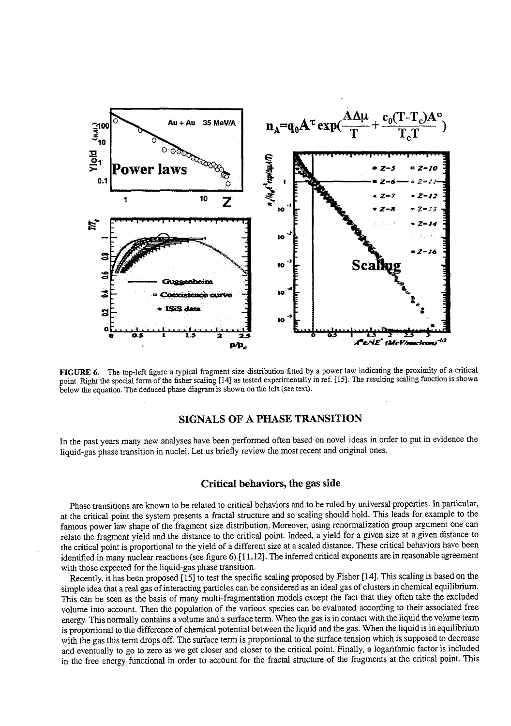

FIGURE 6. The top-left figure a typical fragment size distribution fitted by a power law indicating the proximity of a critical point. Right the special form of the fisher scaling [14] as tested experimentally in ref. [15]. The resulting scaling function is shown below the equation. The deduced phase diagram is shown on the left (see text).

#### SIGNALS OF A PHASE TRANSITION

In the past years many new analyses have been performed often based on novel ideas in order to put in evidence the liquid-gas phase transition in nuclei. Let us briefly review the most recent and original ones.

#### Critical behaviors, the gas side

Phase transitions are known to be related to critical behaviors and to be ruled by universal properties. In particular, at the critical point the system presents a fractal structure and so scaling should hold. This leads for example to the famous power law shape of the fragment size distribution. Moreover, using renormalization group argument one can relate the fragment yield and the distance to the critical point. Indeed, a yield for a given size at a given distance to the critical point is proportional to the yield of a different size at a scaled distance. These critical behaviors have been identified in many nuclear reactions (see figure 6) [11,12]. The inferred critical exponents are in reasonable agreement with those expected for the liquid-gas phase transition.

Recently, it has been proposed [15] to test the specific scaling proposed by Fisher [14]. This scaling is based on the simple idea that a real gas of interacting particles can be considered as an ideal gas of clusters in chemical equilibrium. This can be seen as the basis of many multi-fragmentation models except the fact that they often take the excluded volume into account. Then the population of the various species can be evaluated according to their associated free energy. This normally contains a volume and a surface term. When the gas is in contact with the liquid the volume term is proportional to the difference of chemical potential between the liquid and the gas. When the liquid is in equilibrium with the gas this term drops off. The surface term is proportional to the surface tension which is supposed to decrease and eventually to go to zero as we get closer and closer to the critical point. Finally, a logarithmic factor is included in the free energy functional in order to account for the fractal structure of the fragments at the critical point. This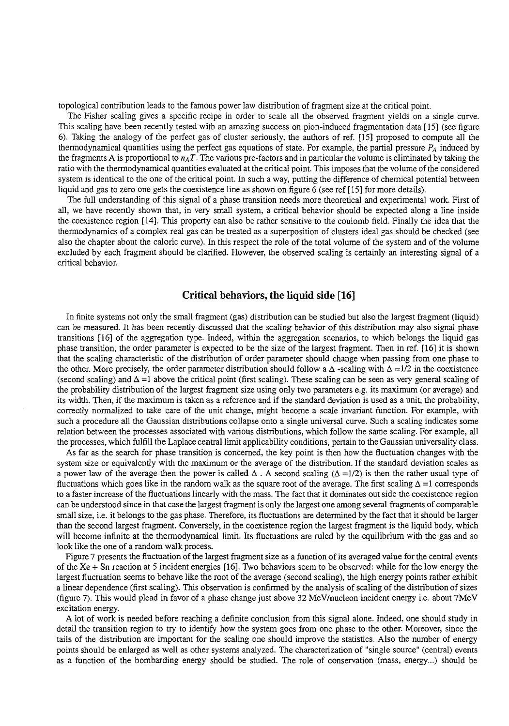topological contribution leads to the famous power law distribution of fragment size at the critical point.

The Fisher scaling gives a specific recipe in order to scale all the observed fragment yields on a single curve. This scaling have been recently tested with an amazing success on pion-induced fragmentation data [15] (see figure 6). Taking the analogy of the perfect gas of cluster seriously, the authors of ref. [15] proposed to compute all the thermodynamical quantities using the perfect gas equations of state. For example, the partial pressure *PA* induced by the fragments A is proportional to  $n_A T$ . The various pre-factors and in particular the volume is eliminated by taking the ratio with the thermodynamical quantities evaluated at the critical point. This imposes that the volume of the considered system is identical to the one of the critical point. In such a way, putting the difference of chemical potential between liquid and gas to zero one gets the coexistence line as shown on figure 6 (see ref [15] for more details).

The full understanding of this signal of a phase transition needs more theoretical and experimental work. First of all, we have recently shown that, in very small system, a critical behavior should be expected along a line inside the coexistence region [14]. This property can also be rather sensitive to the coulomb field. Finally the idea that the thermodynamics of a complex real gas can be treated as a superposition of clusters ideal gas should be checked (see also the chapter about the caloric curve). In this respect the role of the total volume of the system and of the volume excluded by each fragment should be clarified. However, the observed scaling is certainly an interesting signal of a critical behavior.

#### Critical behaviors, the liquid side [16]

In finite systems not only the small fragment (gas) distribution can be studied but also the largest fragment (liquid) can be measured. It has been recently discussed that the scaling behavior of this distribution may also signal phase transitions [16] of the aggregation type. Indeed, within the aggregation scenarios, to which belongs the liquid gas phase transition, the order parameter is expected to be the size of the largest fragment. Then in ref. [16] it is shown that the scaling characteristic of the distribution of order parameter should change when passing from one phase to the other. More precisely, the order parameter distribution should follow a  $\Delta$ -scaling with  $\Delta = 1/2$  in the coexistence (second scaling) and  $\Delta = 1$  above the critical point (first scaling). These scaling can be seen as very general scaling of the probability distribution of the largest fragment size using only two parameters e.g. its maximum (or average) and its width. Then, if the maximum is taken as a reference and if the standard deviation is used as a unit, the probability, correctly normalized to take care of the unit change, might become a scale invariant function. For example, with such a procedure all the Gaussian distributions collapse onto a single universal curve. Such a scaling indicates some relation between the processes associated with various distributions, which follow the same scaling. For example, all the processes, which fulfill the Laplace central limit applicability conditions, pertain to the Gaussian universality class.

As far as the search for phase transition is concerned, the key point is then how the fluctuation changes with the system size or equivalently with the maximum or the average of the distribution. If the standard deviation scales as a power law of the average then the power is called  $\Delta$ . A second scaling ( $\Delta = 1/2$ ) is then the rather usual type of fluctuations which goes like in the random walk as the square root of the average. The first scaling  $\Delta = 1$  corresponds to a faster increase of the fluctuations linearly with the mass. The fact that it dominates out side the coexistence region can be understood since in that case the largest fragment is only the largest one among several fragments of comparable small size, i.e. it belongs to the gas phase. Therefore, its fluctuations are determined by the fact that it should be larger than the second largest fragment. Conversely, in the coexistence region the largest fragment is the liquid body, which will become infinite at the thermodynamical limit. Its fluctuations are ruled by the equilibrium with the gas and so look like the one of a random walk process.

Figure 7 presents the fluctuation of the largest fragment size as a function of its averaged value for the central events of the Xe + Sn reaction at 5 incident energies [16]. Two behaviors seem to be observed: while for the low energy the largest fluctuation seems to behave like the root of the average (second scaling), the high energy points rather exhibit a linear dependence (first scaling). This observation is confirmed by the analysis of scaling of the distribution of sizes (figure 7). This would plead in favor of a phase change just above 32 MeV/nucleon incident energy i.e. about 7MeV excitation energy.

A lot of work is needed before reaching a definite conclusion from this signal alone. Indeed, one should study in detail the transition region to try to identify how the system goes from one phase to the other. Moreover, since the tails of the distribution are important for the scaling one should improve the statistics. Also the number of energy points should be enlarged as well as other systems analyzed. The characterization of "single source" (central) events as a function of the bombarding energy should be studied. The role of conservation (mass, energy...) should be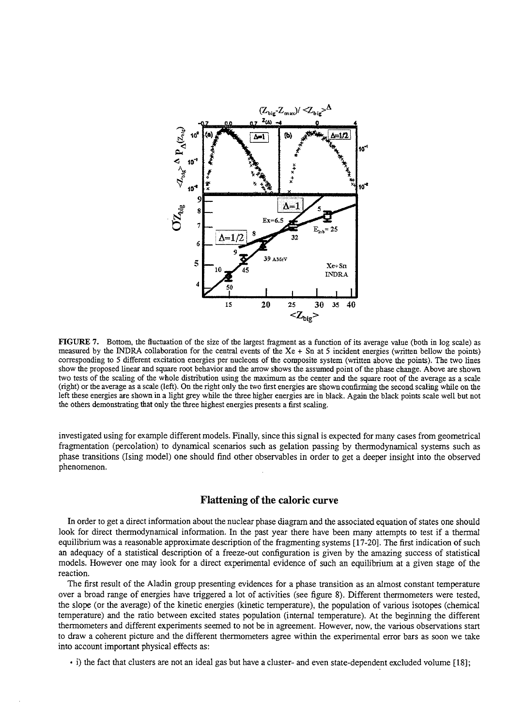

FIGURE 7. Bottom, the fluctuation of the size of the largest fragment as a function of its average value (both in log scale) as measured by the INDRA collaboration for the central events of the  $Xe + Sn$  at 5 incident energies (written bellow the points) corresponding to 5 different excitation energies per nucleons of the composite system (written above the points). The two lines show the proposed linear and square root behavior and the arrow shows the assumed point of the phase change. Above are shown two tests of the scaling of the whole distribution using the maximum as the center and the square root of the average as a scale (right) or the average as a scale (left). On the right only the two first energies are shown confirming the second scaling while on the left these energies are shown in a light grey while the three higher energies are in black. Again the black points scale well but not the others demonstrating that only the three highest energies presents a first scaling.

investigated using for example different models. Finally, since this signal is expected for many cases from geometrical fragmentation (percolation) to dynamical scenarios such as gelation passing by thermodynamical systems such as phase transitions (Ising model) one should find other observables in order to get a deeper insight into the observed phenomenon.

#### Flattening of the caloric curve

In order to get a direct information about the nuclear phase diagram and the associated equation of states one should look for direct thermodynamical information. In the past year there have been many attempts to test if a thermal equilibrium was a reasonable approximate description of the fragmenting systems [17-20]. The first indication of such an adequacy of a statistical description of a freeze-out configuration is given by the amazing success of statistical models. However one may look for a direct experimental evidence of such an equilibrium at a given stage of the reaction.

The first result of the Aladin group presenting evidences for a phase transition as an almost constant temperature over a broad range of energies have triggered a lot of activities (see figure 8). Different thermometers were tested, the slope (or the average) of the kinetic energies (kinetic temperature), the population of various isotopes (chemical temperature) and the ratio between excited states population (internal temperature). At the beginning the different thermometers and different experiments seemed to not be in agreement. However, now, the various observations start to draw a coherent picture and the different thermometers agree within the experimental error bars as soon we take into account important physical effects as:

• i) the fact that clusters are not an ideal gas but have a cluster- and even state-dependent excluded volume [18];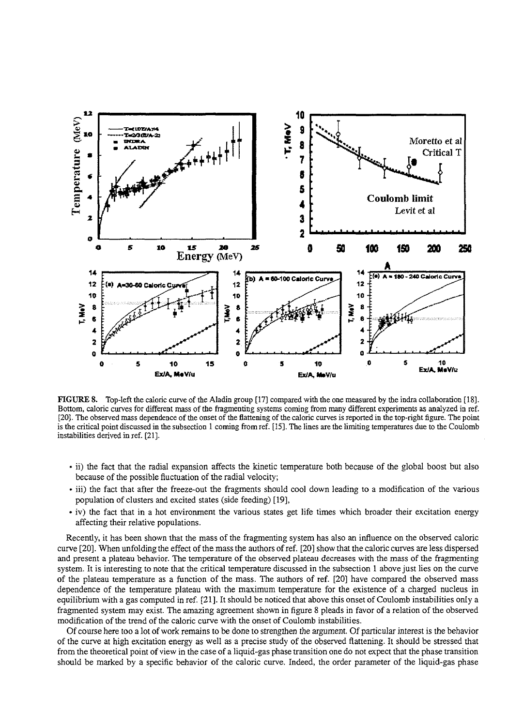

**FIGURE 8.** Top-left the caloric curve of the Aladin group [17] compared with the one measured by the indra collaboration [18]. Bottom, caloric curves for different mass of the fragmenting systems coming from many different experiments as analyzed in ref. [20]. The observed mass dependence of the onset of the flattening of the caloric curves is reported in the top-right figure. The point is the critical point discussed in the subsection 1 coming from ref. [15]. The lines are the limiting temperatures due to the Coulomb instabilities derived in ref. [21].

- ii) the fact that the radial expansion affects the kinetic temperature both because of the global boost but also because of the possible fluctuation of the radial velocity;
- iii) the fact that after the freeze-out the fragments should cool down leading to a modification of the various population of clusters and excited states (side feeding) [19],
- iv) the fact that in a hot environment the various states get life times which broader their excitation energy affecting their relative populations.

Recently, it has been shown that the mass of the fragmenting system has also an influence on the observed caloric curve [20]. When unfolding the effect of the mass the authors of ref. [20] show that the caloric curves are less dispersed and present a plateau behavior. The temperature of the observed plateau decreases with the mass of the fragmenting system. It is interesting to note that the critical temperature discussed in the subsection 1 above just lies on the curve of the plateau temperature as a function of the mass. The authors of ref. [20] have compared the observed mass dependence of the temperature plateau with the maximum temperature for the existence of a charged nucleus in equilibrium with a gas computed in ref. [21]. It should be noticed that above this onset of Coulomb instabilities only a fragmented system may exist. The amazing agreement shown in figure 8 pleads in favor of a relation of the observed modification of the trend of the caloric curve with the onset of Coulomb instabilities.

Of course here too a lot of work remains to be done to strengthen the argument. Of particular interest is the behavior of the curve at high excitation energy as well as a precise study of the observed flattening. It should be stressed that from the theoretical point of view in the case of a liquid-gas phase transition one do not expect that the phase transition should be marked by a specific behavior of the caloric curve. Indeed, the order parameter of the liquid-gas phase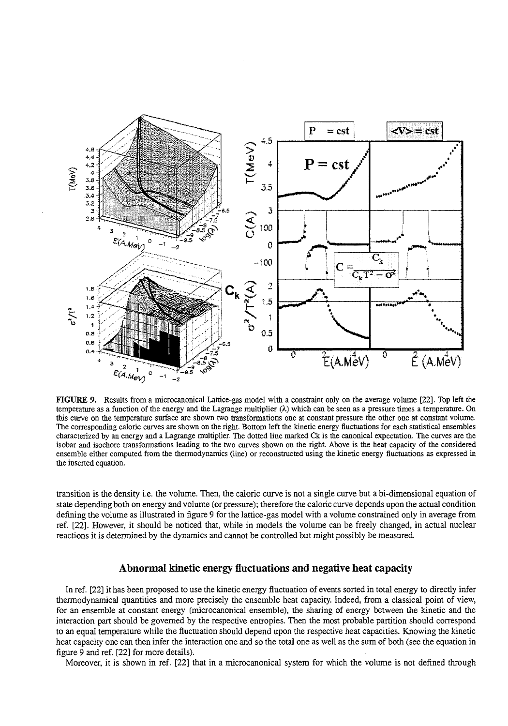

FIGURE 9. Results from a microcanonical Lattice-gas model with a constraint only on the average volume [22]. Top left the temperature as a function of the energy and the Lagrange multiplier  $(\lambda)$  which can be seen as a pressure times a temperature. On this curve on the temperature surface are shown two transformations one at constant pressure the other one at constant volume. The corresponding caloric curves are shown on the right. Bottom left the kinetic energy fluctuations for each statistical ensembles characterized by an energy and a Lagrange multiplier. The dotted line marked Ck is the canonical expectation. The curves are the isobar and isochore transformations leading to the two curves shown on the right. Above is the heat capacity of the considered ensemble either computed from the thermodynamics (line) or reconstructed using the kinetic energy fluctuations as expressed in the inserted equation.

transition is the density i.e. the volume. Then, the caloric curve is not a single curve but a bi-dimensional equation of state depending both on energy and volume (or pressure); therefore the caloric curve depends upon the actual condition defining the volume as illustrated in figure 9 for the lattice-gas model with a volume constrained only in average from ref. [22]. However, it should be noticed that, while in models the volume can be freely changed, in actual nuclear reactions it is determined by the dynamics and cannot be controlled but might possibly be measured.

#### Abnormal kinetic energy fluctuations and negative heat capacity

In ref. [22] it has been proposed to use the kinetic energy fluctuation of events sorted in total energy to directly infer thermodynamical quantities and more precisely the ensemble heat capacity. Indeed, from a classical point of view, for an ensemble at constant energy (microcanonical ensemble), the sharing of energy between the kinetic and the interaction part should be governed by the respective entropies. Then the most probable partition should correspond to an equal temperature while the fluctuation should depend upon the respective heat capacities. Knowing the kinetic heat capacity one can then infer the interaction one and so the total one as well as the sum of both (see the equation in figure 9 and ref. [22] for more details).

Moreover, it is shown in ref. [22] that in a microcanonical system for which the volume is not defined through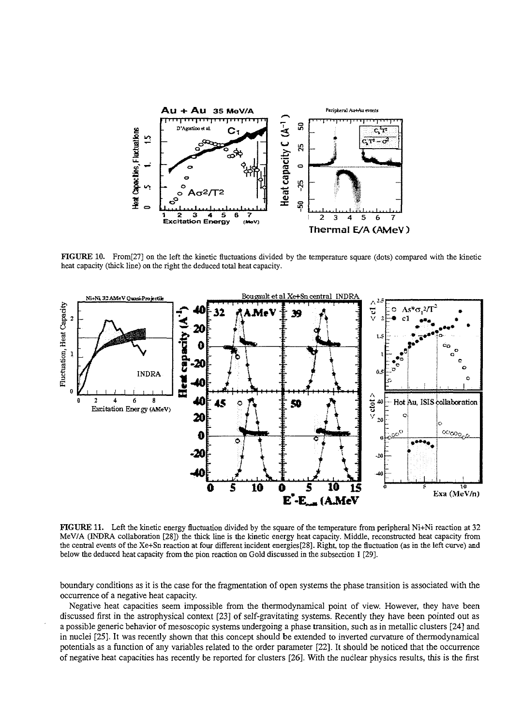

**FIGURE** 10. From[27] on the left the kinetic fluctuations divided by the temperature square (dots) compared with the kinetic heat capacity (thick line) on the right the deduced total heat capacity.



**FIGURE 11.** Left the kinetic energy fluctuation divided by the square of the temperature from peripheral Ni+Ni reaction at 32 MeV/A (INDRA collaboration [28]) the thick line is the kinetic energy heat capacity. Middle, reconstructed heat capacity from the central events of the Xe+Sn reaction at four different incident energies[28]. Right, top the fluctuation (as in the left curve) and below the deduced heat capacity from the pion reaction on Gold discussed in the subsection 1 [29].

boundary conditions as it is the case for the fragmentation of open systems the phase transition is associated with the occurrence of a negative heat capacity.

Negative heat capacities seem impossible from the fhermodynamical point of view. However, they have been discussed first in the astrophysical context [23] of self-gravitating systems. Recently they have been pointed out as a possible generic behavior of mesoscopic systems undergoing a phase transition, such as in metallic clusters [24] and in nuclei [25]. It was recently shown that this concept should be extended to inverted curvature of thermodynamical potentials as a function of any variables related to the order parameter [22]. It should be noticed that the occurrence of negative heat capacities has recently be reported for clusters [26]. With the nuclear physics results, this is the first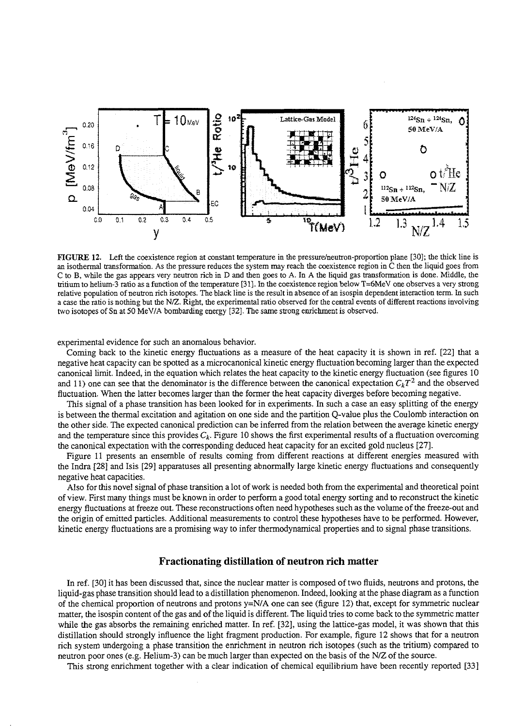

FIGURE 12. Left the coexistence region at constant temperature in the pressure/neutron-proportion plane [30]; the thick line is an isothermal transformation. As the pressure reduces the system may reach the coexistence region in C then the liquid goes from C to B, while the gas appears very neutron rich in D and then goes to A. In A the liquid gas transformation is done. Middle, the tritium to helium-3 ratio as a function of the temperature [31 ]. In the coexistence region below T=6MeV one observes a very strong relative population of neutron rich isotopes. The black line is the result in absence of an isospin dependent interaction term. In such a case the ratio is nothing but the N/Z. Right, the experimental ratio observed for the central events of different reactions involving two isotopes of Sn at 50 MeV/A bombarding energy [32]. The same strong enrichment is observed.

experimental evidence for such an anomalous behavior.

Coming back to the kinetic energy fluctuations as a measure of the heat capacity it is shown in ref. [22] that a negative heat capacity can be spotted as a microcanonical kinetic energy fluctuation becoming larger than the expected canonical limit. Indeed, in the equation which relates the heat capacity to the kinetic energy fluctuation (see figures 10 and 11) one can see that the denominator is the difference between the canonical expectation  $C_kT^2$  and the observed fluctuation. When the latter becomes larger than the former the heat capacity diverges before becoming negative.

This signal of a phase transition has been looked for in experiments. In such a case an easy splitting of the energy is between the thermal excitation and agitation on one side and the partition Q-value plus the Coulomb interaction on the other side. The expected canonical prediction can be inferred from the relation between the average kinetic energy and the temperature since this provides  $C_k$ . Figure 10 shows the first experimental results of a fluctuation overcoming the canonical expectation with the corresponding deduced heat capacity for an excited gold nucleus [27].

Figure 11 presents an ensemble of results coming from different reactions at different energies measured with the Indra [28] and Isis [29] apparatuses all presenting abnormally large kinetic energy fluctuations and consequently negative heat capacities.

Also for this novel signal of phase transition a lot of work is needed both from the experimental and theoretical point of view. First many things must be known in order to perform a good total energy sorting and to reconstruct the kinetic energy fluctuations at freeze out. These reconstructions often need hypotheses such as the volume of the freeze-out and the origin of emitted particles. Additional measurements to control these hypotheses have to be performed. However, kinetic energy fluctuations are a promising way to infer thermodynamical properties and to signal phase transitions.

#### Fractionating distillation of neutron rich matter

In ref. [30] it has been discussed that, since the nuclear matter is composed of two fluids, neutrons and protons, the liquid-gas phase transition should lead to a distillation phenomenon. Indeed, looking at the phase diagram as a function of the chemical proportion of neutrons and protons y=N/A one can see (figure 12) that, except for symmetric nuclear matter, the isospin content of the gas and of the liquid is different. The liquid tries to come back to the symmetric matter while the gas absorbs the remaining enriched matter. In ref. [32], using the lattice-gas model, it was shown that this distillation should strongly influence the light fragment production. For example, figure 12 shows that for a neutron rich system undergoing a phase transition the enrichment in neutron rich isotopes (such as the tritium) compared to neutron poor ones (e.g. Helium-3) can be much larger than expected on the basis of the N/Z of the source.

This strong enrichment together with a clear indication of chemical equilibrium have been recently reported [33]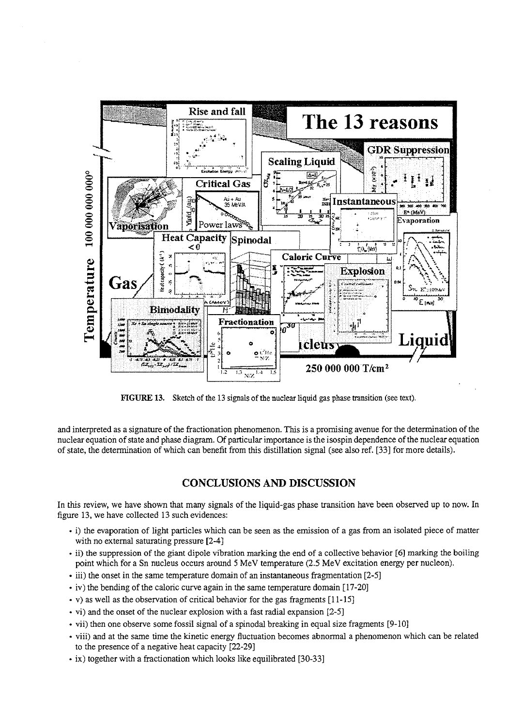

FIGURE 13. Sketch of the 13 signals of the nuclear liquid gas phase transition (see text).

and interpreted as a signature of the fractionation phenomenon. This is a promising avenue for the determination of the nuclear equation of state and phase diagram. Of particular importance is the isospin dependence of the nuclear equation of state, the determination of which can benefit from this distillation signal (see also ref. [33] for more details).

### CONCLUSIONS AND DISCUSSION

In this review, we have shown that many signals of the liquid-gas phase transition have been observed up to now. In figure 13, we have collected 13 such evidences:

- i) the evaporation of light particles which can be seen as the emission of a gas from an isolated piece of matter with no external saturating pressure [2-4]
- ii) the suppression of the giant dipole vibration marking the end of a collective behavior [6] marking the boiling point which for a Sn nucleus occurs around 5 MeV temperature (2.5 MeV excitation energy per nucleon).
- iii) the onset in the same temperature domain of an instantaneous fragmentation [2-5]
- iv) the bending of the caloric curve again in the same temperature domain [17-20]
- v) as well as the observation of critical behavior for the gas fragments [11-15]
- vi) and the onset of the nuclear explosion with a fast radial expansion [2-5]
- vii) then one observe some fossil signal of a spinodal breaking in equal size fragments [9-10]
- viii) and at the same time the kinetic energy fluctuation becomes abnormal a phenomenon which can be related to the presence of a negative heat capacity [22-29]
- ix) together with a fractionation which looks like equilibrated [30-33]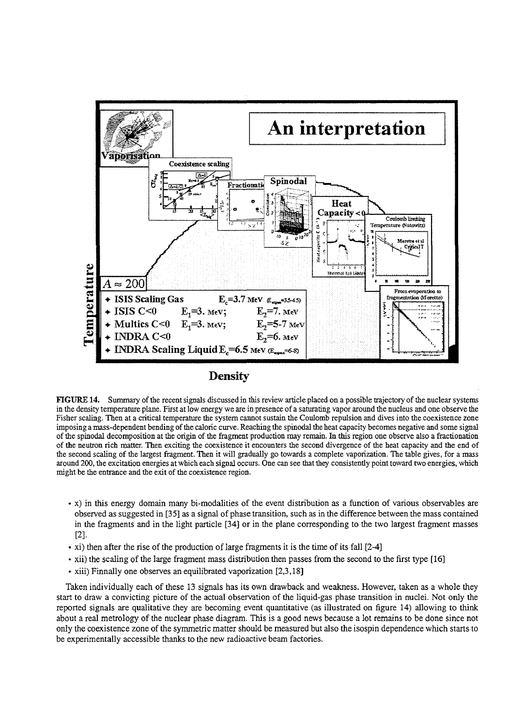

# **Density**

FIGURE 14. Summary of the recent signals discussed in this review article placed on a possible trajectory of the nuclear systems in the density temperature plane. First at low energy we are in presence of a saturating vapor around the nucleus and one observe the Fisher scaling. Then at a critical temperature the system cannot sustain the Coulomb repulsion and dives into the coexistence zone imposing a mass-dependent bending of the caloric curve. Reaching the spinodal the heat capacity becomes negative and some signal of the spinodal decomposition at the origin of the fragment production may remain. In this region one observe also a fractionation of the neutron rich matter. Then exciting the coexistence it encounters the second divergence of the heat capacity and the end of the second scaling of the largest fragment. Then it will gradually go towards a complete vaporization. The table gives, for a mass around 200, the excitation energies at which each signal occurs. One can see that they consistently point toward two energies, which might be the entrance and the exit of the coexistence region.

- x) in this energy domain many bi-modalities of the event distribution as a function of various observables are observed as suggested in [35] as a signal of phase transition, such as in the difference between the mass contained in the fragments and in the light particle [34] or in the plane corresponding to the two largest fragment masses [2].
- xi) then after the rise of the production of large fragments it is the time of its fall [2-4]
- xii) the scaling of the large fragment mass distribution then passes from the second to the first type [16]
- xiii) Finnally one observes an equilibrated vaporization [2,3,18]

Taken individually each of these 13 signals has its own drawback and weakness. However, taken as a whole they start to draw a convicting picture of the actual observation of the liquid-gas phase transition in nuclei. Not only the reported signals are qualitative they are becoming event quantitative (as illustrated on figure 14) allowing to think about a real metrology of the nuclear phase diagram. This is a good news because a lot remains to be done since not only the coexistence zone of the symmetric matter should be measured but also the isospin dependence which starts to be experimentally accessible thanks to the new radioactive beam factories.